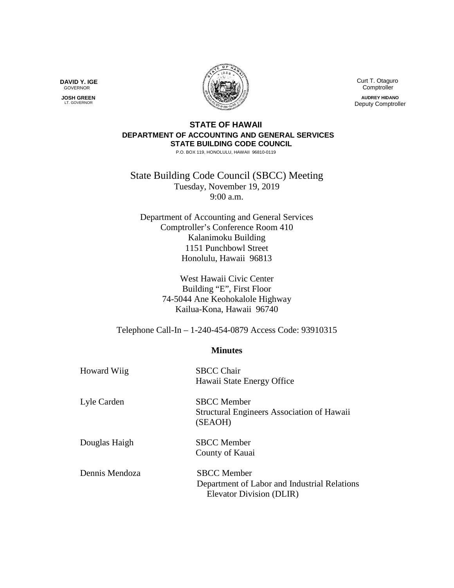Curt T. Otaguro Comptroller

**AUDREY HIDANO** Deputy Comptroller

## **STATE OF HAWAII DEPARTMENT OF ACCOUNTING AND GENERAL SERVICES STATE BUILDING CODE COUNCIL**

P.O. BOX 119, HONOLULU, HAWAII 96810-0119

State Building Code Council (SBCC) Meeting Tuesday, November 19, 2019 9:00 a.m.

Department of Accounting and General Services Comptroller's Conference Room 410 Kalanimoku Building 1151 Punchbowl Street Honolulu, Hawaii 96813

> West Hawaii Civic Center Building "E", First Floor 74-5044 Ane Keohokalole Highway Kailua-Kona, Hawaii 96740

Telephone Call-In – 1-240-454-0879 Access Code: 93910315

## **Minutes**

| <b>Howard Wiig</b> | <b>SBCC Chair</b><br>Hawaii State Energy Office                                                |
|--------------------|------------------------------------------------------------------------------------------------|
| Lyle Carden        | <b>SBCC</b> Member<br>Structural Engineers Association of Hawaii<br>(SEAOH)                    |
| Douglas Haigh      | <b>SBCC</b> Member<br>County of Kauai                                                          |
| Dennis Mendoza     | <b>SBCC</b> Member<br>Department of Labor and Industrial Relations<br>Elevator Division (DLIR) |

**DAVID Y. IGE** GOVERNOR

 **JOSH GREEN** LT. GOVERNOR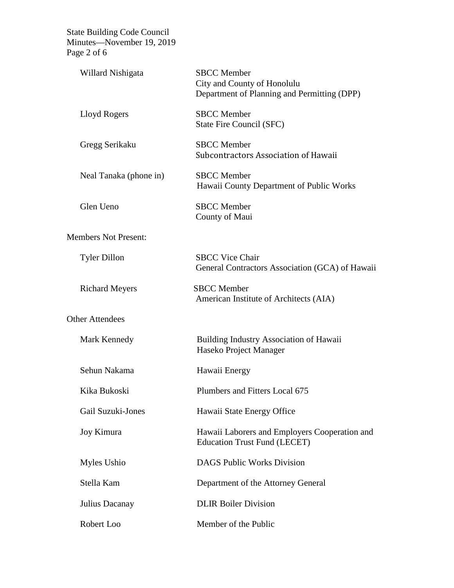State Building Code Council Minutes—November 19, 2019 Page 2 of 6

| Willard Nishigata           | <b>SBCC</b> Member<br>City and County of Honolulu<br>Department of Planning and Permitting (DPP) |
|-----------------------------|--------------------------------------------------------------------------------------------------|
| Lloyd Rogers                | <b>SBCC</b> Member<br>State Fire Council (SFC)                                                   |
| Gregg Serikaku              | <b>SBCC</b> Member<br>Subcontractors Association of Hawaii                                       |
| Neal Tanaka (phone in)      | <b>SBCC</b> Member<br>Hawaii County Department of Public Works                                   |
| Glen Ueno                   | <b>SBCC</b> Member<br>County of Maui                                                             |
| <b>Members Not Present:</b> |                                                                                                  |
| <b>Tyler Dillon</b>         | <b>SBCC Vice Chair</b><br>General Contractors Association (GCA) of Hawaii                        |
| <b>Richard Meyers</b>       | <b>SBCC</b> Member<br>American Institute of Architects (AIA)                                     |
| <b>Other Attendees</b>      |                                                                                                  |
| Mark Kennedy                | <b>Building Industry Association of Hawaii</b><br>Haseko Project Manager                         |
| Sehun Nakama                | Hawaii Energy                                                                                    |
| Kika Bukoski                | Plumbers and Fitters Local 675                                                                   |
| <b>Gail Suzuki-Jones</b>    | Hawaii State Energy Office                                                                       |
| Joy Kimura                  | Hawaii Laborers and Employers Cooperation and<br><b>Education Trust Fund (LECET)</b>             |
| Myles Ushio                 | <b>DAGS Public Works Division</b>                                                                |
| Stella Kam                  | Department of the Attorney General                                                               |
| Julius Dacanay              | <b>DLIR Boiler Division</b>                                                                      |
| Robert Loo                  | Member of the Public                                                                             |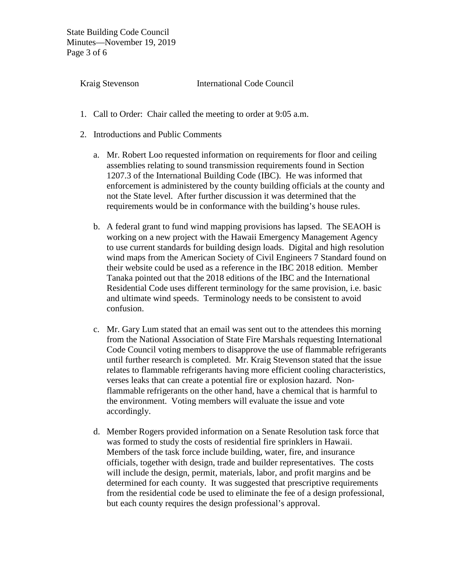State Building Code Council Minutes—November 19, 2019 Page 3 of 6

Kraig Stevenson International Code Council

- 1. Call to Order: Chair called the meeting to order at 9:05 a.m.
- 2. Introductions and Public Comments
	- a. Mr. Robert Loo requested information on requirements for floor and ceiling assemblies relating to sound transmission requirements found in Section 1207.3 of the International Building Code (IBC). He was informed that enforcement is administered by the county building officials at the county and not the State level. After further discussion it was determined that the requirements would be in conformance with the building's house rules.
	- b. A federal grant to fund wind mapping provisions has lapsed. The SEAOH is working on a new project with the Hawaii Emergency Management Agency to use current standards for building design loads. Digital and high resolution wind maps from the American Society of Civil Engineers 7 Standard found on their website could be used as a reference in the IBC 2018 edition. Member Tanaka pointed out that the 2018 editions of the IBC and the International Residential Code uses different terminology for the same provision, i.e. basic and ultimate wind speeds. Terminology needs to be consistent to avoid confusion.
	- c. Mr. Gary Lum stated that an email was sent out to the attendees this morning from the National Association of State Fire Marshals requesting International Code Council voting members to disapprove the use of flammable refrigerants until further research is completed. Mr. Kraig Stevenson stated that the issue relates to flammable refrigerants having more efficient cooling characteristics, verses leaks that can create a potential fire or explosion hazard. Nonflammable refrigerants on the other hand, have a chemical that is harmful to the environment. Voting members will evaluate the issue and vote accordingly.
	- d. Member Rogers provided information on a Senate Resolution task force that was formed to study the costs of residential fire sprinklers in Hawaii. Members of the task force include building, water, fire, and insurance officials, together with design, trade and builder representatives. The costs will include the design, permit, materials, labor, and profit margins and be determined for each county. It was suggested that prescriptive requirements from the residential code be used to eliminate the fee of a design professional, but each county requires the design professional's approval.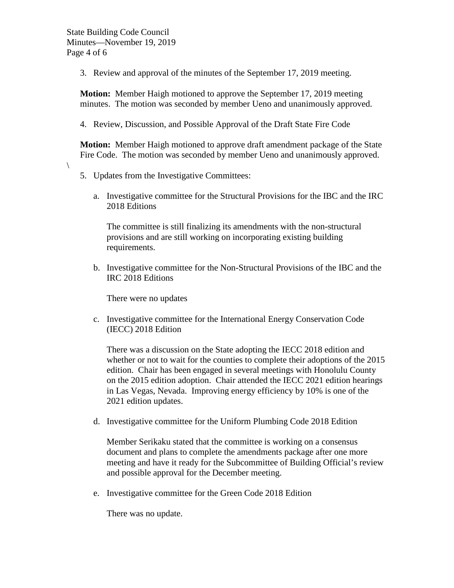$\setminus$ 

3. Review and approval of the minutes of the September 17, 2019 meeting.

**Motion:** Member Haigh motioned to approve the September 17, 2019 meeting minutes. The motion was seconded by member Ueno and unanimously approved.

4. Review, Discussion, and Possible Approval of the Draft State Fire Code

**Motion:** Member Haigh motioned to approve draft amendment package of the State Fire Code. The motion was seconded by member Ueno and unanimously approved.

- 5. Updates from the Investigative Committees:
	- a. Investigative committee for the Structural Provisions for the IBC and the IRC 2018 Editions

The committee is still finalizing its amendments with the non-structural provisions and are still working on incorporating existing building requirements.

b. Investigative committee for the Non-Structural Provisions of the IBC and the IRC 2018 Editions

There were no updates

c. Investigative committee for the International Energy Conservation Code (IECC) 2018 Edition

There was a discussion on the State adopting the IECC 2018 edition and whether or not to wait for the counties to complete their adoptions of the 2015 edition. Chair has been engaged in several meetings with Honolulu County on the 2015 edition adoption. Chair attended the IECC 2021 edition hearings in Las Vegas, Nevada. Improving energy efficiency by 10% is one of the 2021 edition updates.

d. Investigative committee for the Uniform Plumbing Code 2018 Edition

Member Serikaku stated that the committee is working on a consensus document and plans to complete the amendments package after one more meeting and have it ready for the Subcommittee of Building Official's review and possible approval for the December meeting.

e. Investigative committee for the Green Code 2018 Edition

There was no update.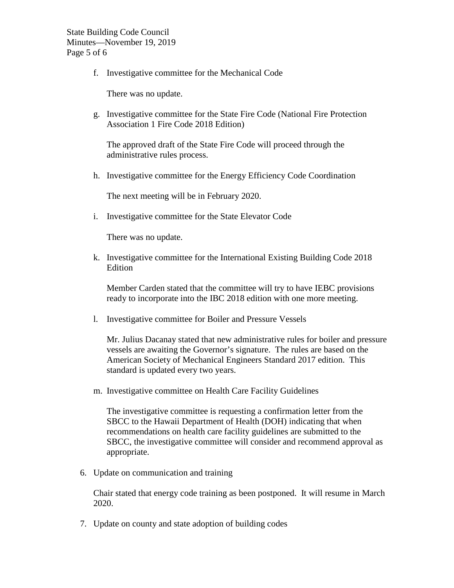f. Investigative committee for the Mechanical Code

There was no update.

g. Investigative committee for the State Fire Code (National Fire Protection Association 1 Fire Code 2018 Edition)

The approved draft of the State Fire Code will proceed through the administrative rules process.

h. Investigative committee for the Energy Efficiency Code Coordination

The next meeting will be in February 2020.

i. Investigative committee for the State Elevator Code

There was no update.

k. Investigative committee for the International Existing Building Code 2018 Edition

Member Carden stated that the committee will try to have IEBC provisions ready to incorporate into the IBC 2018 edition with one more meeting.

l. Investigative committee for Boiler and Pressure Vessels

Mr. Julius Dacanay stated that new administrative rules for boiler and pressure vessels are awaiting the Governor's signature. The rules are based on the American Society of Mechanical Engineers Standard 2017 edition. This standard is updated every two years.

m. Investigative committee on Health Care Facility Guidelines

The investigative committee is requesting a confirmation letter from the SBCC to the Hawaii Department of Health (DOH) indicating that when recommendations on health care facility guidelines are submitted to the SBCC, the investigative committee will consider and recommend approval as appropriate.

6. Update on communication and training

Chair stated that energy code training as been postponed. It will resume in March 2020.

7. Update on county and state adoption of building codes